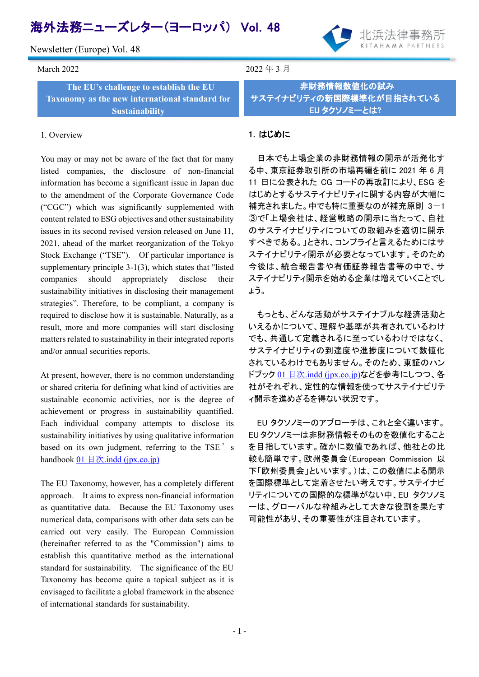# 海外法務ニューズレター(ヨーロッパ) Vol.48

Newsletter (Europe) Vol. 48



March 2022  $\pm$  3 月

**The EU's challenge to establish the EU Taxonomy as the new international standard for Sustainability**

#### 1. Overview

You may or may not be aware of the fact that for many listed companies, the disclosure of non-financial information has become a significant issue in Japan due to the amendment of the Corporate Governance Code ("CGC") which was significantly supplemented with content related to ESG objectives and other sustainability issues in its second revised version released on June 11, 2021, ahead of the market reorganization of the Tokyo Stock Exchange ("TSE"). Of particular importance is supplementary principle 3-1(3), which states that "listed companies should appropriately disclose their sustainability initiatives in disclosing their management strategies". Therefore, to be compliant, a company is required to disclose how it is sustainable. Naturally, as a result, more and more companies will start disclosing matters related to sustainability in their integrated reports and/or annual securities reports.

At present, however, there is no common understanding or shared criteria for defining what kind of activities are sustainable economic activities, nor is the degree of achievement or progress in sustainability quantified. Each individual company attempts to disclose its sustainability initiatives by using qualitative information based on its own judgment, referring to the TSE's handbook  $01 \nvert \nvert \nvert \nvert \nvert x$ [.indd \(jpx.co.jp\)](https://www.jpx.co.jp/corporate/sustainability/esg-investment/handbook/nlsgeu000004n8p1-att/handbook.pdf)

The EU Taxonomy, however, has a completely different approach. It aims to express non-financial information as quantitative data. Because the EU Taxonomy uses numerical data, comparisons with other data sets can be carried out very easily. The European Commission (hereinafter referred to as the "Commission") aims to establish this quantitative method as the international standard for sustainability. The significance of the EU Taxonomy has become quite a topical subject as it is envisaged to facilitate a global framework in the absence of international standards for sustainability.

February 2021 2021 2022 2022 2023 2024 2022 2022 2023 2024 2022 2023 2024 2022 2023 2024 2022 2023 2024 2023

非財務情報数値化の試み サステイナビリティの新国際標準化が目指されている EU タクソノミーとは?

# 1.はじめに

日本でも上場企業の非財務情報の開示が活発化す る中、東京証券取引所の市場再編を前に 2021 年 6 月 11 日に公表された CG コードの再改訂により、ESG を はじめとするサステイナビリティに関する内容が大幅に 補充されました。中でも特に重要なのが補充原則 3-1 ③で「上場会社は、経営戦略の開示に当たって、自社 のサステイナビリティについての取組みを適切に開示 すべきである。」とされ、コンプライと言えるためにはサ ステイナビリティ開示が必要となっています。そのため 今後は、統合報告書や有価証券報告書等の中で、サ ステイナビリティ開示を始める企業は増えていくことでし ょう。

もっとも、どんな活動がサステイナブルな経済活動と いえるかについて、理解や基準が共有されているわけ でも、共通して定義されるに至っているわけではなく、 サステイナビリティの到達度や進捗度について数値化 されているわけでもありません。そのため、東証のハン ドブック 01 目次[.indd \(jpx.co.jp\)](https://www.jpx.co.jp/corporate/sustainability/esg-investment/handbook/nlsgeu000004n8p1-att/handbook.pdf)などを参考にしつつ、各 社がそれぞれ、定性的な情報を使ってサステイナビリテ ィ開示を進めざるを得ない状況です。

EU タクソノミーのアプローチは、これと全く違います。 EU タクソノミーは非財務情報そのものを数値化すること を目指しています。確かに数値であれば、他社との比 較も簡単です。欧州委員会(European Commission 以 下「欧州委員会」といいます。)は、この数値による開示 を国際標準として定着させたい考えです。サステイナビ リティについての国際的な標準がない中、EU タクソノミ ーは、グローバルな枠組みとして大きな役割を果たす 可能性があり、その重要性が注目されています。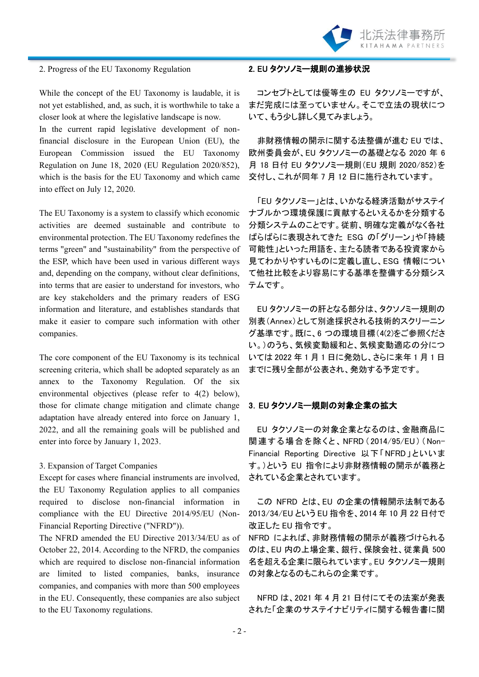

#### 2. Progress of the EU Taxonomy Regulation

While the concept of the EU Taxonomy is laudable, it is not yet established, and, as such, it is worthwhile to take a closer look at where the legislative landscape is now.

In the current rapid legislative development of nonfinancial disclosure in the European Union (EU), the European Commission issued the EU Taxonomy Regulation on June 18, 2020 (EU Regulation 2020/852), which is the basis for the EU Taxonomy and which came into effect on July 12, 2020.

The EU Taxonomy is a system to classify which economic activities are deemed sustainable and contribute to environmental protection. The EU Taxonomy redefines the terms "green" and "sustainability" from the perspective of the ESP, which have been used in various different ways and, depending on the company, without clear definitions, into terms that are easier to understand for investors, who are key stakeholders and the primary readers of ESG information and literature, and establishes standards that make it easier to compare such information with other companies.

The core component of the EU Taxonomy is its technical screening criteria, which shall be adopted separately as an annex to the Taxonomy Regulation. Of the six environmental objectives (please refer to 4(2) below), those for climate change mitigation and climate change adaptation have already entered into force on January 1, 2022, and all the remaining goals will be published and enter into force by January 1, 2023.

## 3. Expansion of Target Companies

Except for cases where financial instruments are involved, the EU Taxonomy Regulation applies to all companies required to disclose non-financial information in compliance with the EU Directive 2014/95/EU (Non-Financial Reporting Directive ("NFRD")).

The NFRD amended the EU Directive 2013/34/EU as of October 22, 2014. According to the NFRD, the companies which are required to disclose non-financial information are limited to listed companies, banks, insurance companies, and companies with more than 500 employees in the EU. Consequently, these companies are also subject to the EU Taxonomy regulations.

## 2. EU タクソノミー規則の進捗状況

コンセプトとしては優等生の EU タクソノミーですが、 まだ完成には至っていません。そこで立法の現状につ いて、もう少し詳しく見てみましょう。

非財務情報の開示に関する法整備が進む EU では、 欧州委員会が、EU タクソノミーの基礎となる 2020 年 6 月 18 日付 EU タクソノミー規則(EU 規則 2020/852)を 交付し、これが同年 7 月 12 日に施行されています。

「EU タクソノミー」とは、いかなる経済活動がサステイ ナブルかつ環境保護に貢献するといえるかを分類する 分類システムのことです。従前、明確な定義がなく各社 ばらばらに表現されてきた ESG の「グリーン」や「持続 可能性」といった用語を、主たる読者である投資家から 見てわかりやすいものに定義し直し、ESG 情報につい て他社比較をより容易にする基準を整備する分類シス テムです。

EU タクソノミーの肝となる部分は、タクソノミー規則の 別表(Annex)として別途採択される技術的スクリーニン グ基準です。既に、6 つの環境目標(4(2)をご参照くださ い。)のうち、気候変動緩和と、気候変動適応の分につ いては 2022 年 1 月 1 日に発効し、さらに来年 1 月 1 日 までに残り全部が公表され、発効する予定です。

#### 3.EU タクソノミー規則の対象企業の拡大

EU タクソノミーの対象企業となるのは、金融商品に 関連する場合を除 くと、NFRD( 2014/95/EU) (Non-Financial Reporting Directive 以下「NFRD」といいま す。)という EU 指令により非財務情報の開示が義務と されている企業とされています。

この NFRD とは、EU の企業の情報開示法制である 2013/34/EU という EU 指令を、2014 年 10 月 22 日付で 改正した EU 指令です。

NFRD によれば、非財務情報の開示が義務づけられる のは、EU 内の上場企業、銀行、保険会社、従業員 500 名を超える企業に限られています。EU タクソノミー規則 の対象となるのもこれらの企業です。

NFRD は、2021 年 4 月 21 日付にてその法案が発表 された「企業のサステイナビリティに関する報告書に関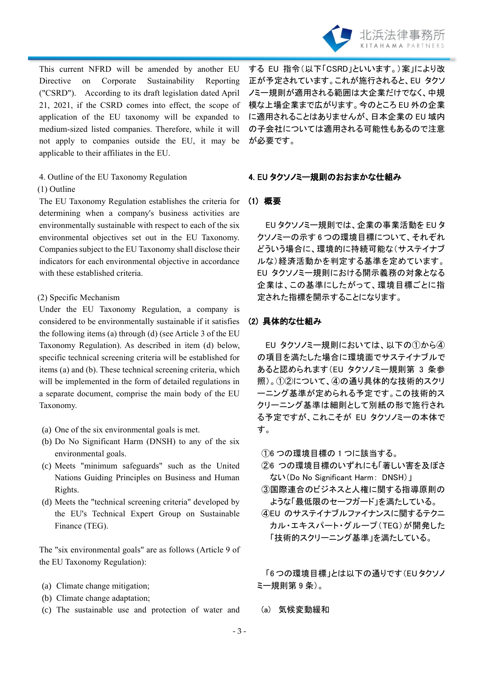

This current NFRD will be amended by another EU Directive on Corporate Sustainability Reporting ("CSRD"). According to its draft legislation dated April 21, 2021, if the CSRD comes into effect, the scope of application of the EU taxonomy will be expanded to medium-sized listed companies. Therefore, while it will not apply to companies outside the EU, it may be applicable to their affiliates in the EU.

4. Outline of the EU Taxonomy Regulation (1) Outline

The EU Taxonomy Regulation establishes the criteria for determining when a company's business activities are environmentally sustainable with respect to each of the six environmental objectives set out in the EU Taxonomy. Companies subject to the EU Taxonomy shall disclose their indicators for each environmental objective in accordance with these established criteria.

#### (2) Specific Mechanism

Under the EU Taxonomy Regulation, a company is considered to be environmentally sustainable if it satisfies the following items (a) through (d) (see Article 3 of the EU Taxonomy Regulation). As described in item (d) below, specific technical screening criteria will be established for items (a) and (b). These technical screening criteria, which will be implemented in the form of detailed regulations in a separate document, comprise the main body of the EU Taxonomy.

- (a) One of the six environmental goals is met.
- (b) Do No Significant Harm (DNSH) to any of the six environmental goals.
- (c) Meets "minimum safeguards" such as the United Nations Guiding Principles on Business and Human Rights.
- (d) Meets the "technical screening criteria" developed by the EU's Technical Expert Group on Sustainable Finance (TEG).

The "six environmental goals" are as follows (Article 9 of the EU Taxonomy Regulation):

- (a) Climate change mitigation;
- (b) Climate change adaptation;
- (c) The sustainable use and protection of water and

する EU 指令(以下「CSRD」といいます。)案」により改 正が予定されています。これが施行されると、EU タクソ ノミー規則が適用される範囲は大企業だけでなく、中規 模な上場企業まで広がります。今のところ EU 外の企業 に適用されることはありませんが、日本企業の EU 域内 の子会社については適用される可能性もあるので注意 が必要です。

#### 4. EU タクソノミー規則のおおまかな仕組み

# (1) 概要

EU タクソノミー規則では、企業の事業活動を EU タ クソノミーの示す 6 つの環境目標について、それぞれ どういう場合に、環境的に持続可能な(サステイナブ ルな)経済活動かを判定する基準を定めています。 EU タクソノミー規則における開示義務の対象となる 企業は、この基準にしたがって、環境目標ごとに指 定された指標を開示することになります。

## (2) 具体的な仕組み

EU タクソノミー規則においては、以下の①から④ の項目を満たした場合に環境面でサステイナブルで あると認められます(EU タクソノミー規則第 3 条参 照)。①②について、④の通り具体的な技術的スクリ ーニング基準が定められる予定です。この技術的ス クリーニング基準は細則として別紙の形で施行され る予定ですが、これこそが EU タクソノミーの本体で す。

- ①6 つの環境目標の 1 つに該当する。
- ②6 つの環境目標のいずれにも「著しい害を及ぼさ ない(Do No Significant Harm: DNSH)」
- ③国際連合のビジネスと人権に関する指導原則の ような「最低限のセーフガード」を満たしている。
- ④EU のサステイナブルファイナンスに関するテクニ カル・エキスパート・グループ(TEG)が開発した 「技術的スクリーニング基準」を満たしている。

「6 つの環境目標」とは以下の通りです(EU タクソノ ミー規則第 9 条)。

(a) 気候変動緩和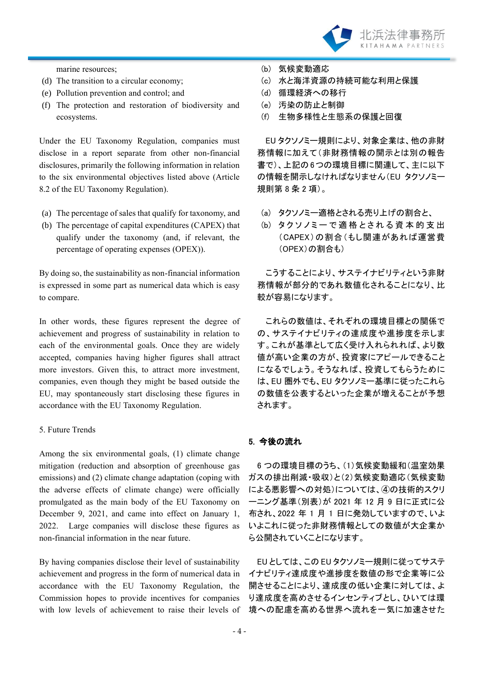

marine resources;

- (d) The transition to a circular economy;
- (e) Pollution prevention and control; and
- (f) The protection and restoration of biodiversity and ecosystems.

Under the EU Taxonomy Regulation, companies must disclose in a report separate from other non-financial disclosures, primarily the following information in relation to the six environmental objectives listed above (Article 8.2 of the EU Taxonomy Regulation).

- (a) The percentage of sales that qualify for taxonomy, and
- (b) The percentage of capital expenditures (CAPEX) that qualify under the taxonomy (and, if relevant, the percentage of operating expenses (OPEX)).

By doing so, the sustainability as non-financial information is expressed in some part as numerical data which is easy to compare.

In other words, these figures represent the degree of achievement and progress of sustainability in relation to each of the environmental goals. Once they are widely accepted, companies having higher figures shall attract more investors. Given this, to attract more investment, companies, even though they might be based outside the EU, may spontaneously start disclosing these figures in accordance with the EU Taxonomy Regulation.

## 5. Future Trends

Among the six environmental goals, (1) climate change mitigation (reduction and absorption of greenhouse gas emissions) and (2) climate change adaptation (coping with the adverse effects of climate change) were officially promulgated as the main body of the EU Taxonomy on December 9, 2021, and came into effect on January 1, 2022. Large companies will disclose these figures as non-financial information in the near future.

By having companies disclose their level of sustainability achievement and progress in the form of numerical data in accordance with the EU Taxonomy Regulation, the Commission hopes to provide incentives for companies with low levels of achievement to raise their levels of

- (b) 気候変動適応
- (c) 水と海洋資源の持続可能な利用と保護
- (d) 循環経済への移行
- (e) 汚染の防止と制御
- (f) 生物多様性と生態系の保護と回復

EU タクソノミー規則により、対象企業は、他の非財 務情報に加えて(非財務情報の開示とは別の報告 書で)、上記の6つの環境目標に関連して、主に以下 の情報を開示しなければなりません(EU タクソノミー 規則第 8 条 2 項)。

- (a) タクソノミー適格とされる売り上げの割合と、
- $(b)$  タクソノミーで適格とされる資本的支出 (CAPEX)の割合(もし関連があれば運営費 (OPEX)の割合も)

こうすることにより、サステイナビリティという非財 務情報が部分的であれ数値化されることになり、比 較が容易になります。

これらの数値は、それぞれの環境目標との関係で の、サステイナビリティの達成度や進捗度を示しま す。これが基準として広く受け入れられれば、より数 値が高い企業の方が、投資家にアピールできること になるでしょう。そうなれば、投資してもらうために は、EU 圏外でも、EU タクソノミー基準に従ったこれら の数値を公表するといった企業が増えることが予想 されます。

# 5. 今後の流れ

6 つの環境目標のうち、(1)気候変動緩和(温室効果 ガスの排出削減・吸収)と(2)気候変動適応(気候変動 による悪影響への対処)については、4の技術的スクリ ーニング基準(別表)が 2021 年 12 月 9 日に正式に公 布され、2022 年 1 月 1 日に発効していますので、いよ いよこれに従った非財務情報としての数値が大企業か ら公開されていくことになります。

EU としては、この EU タクソノミー規則に従ってサステ イナビリティ達成度や進捗度を数値の形で企業等に公 開させることにより、達成度の低い企業に対しては、よ り達成度を高めさせるインセンティブとし、ひいては環 境への配慮を高める世界へ流れを一気に加速させた